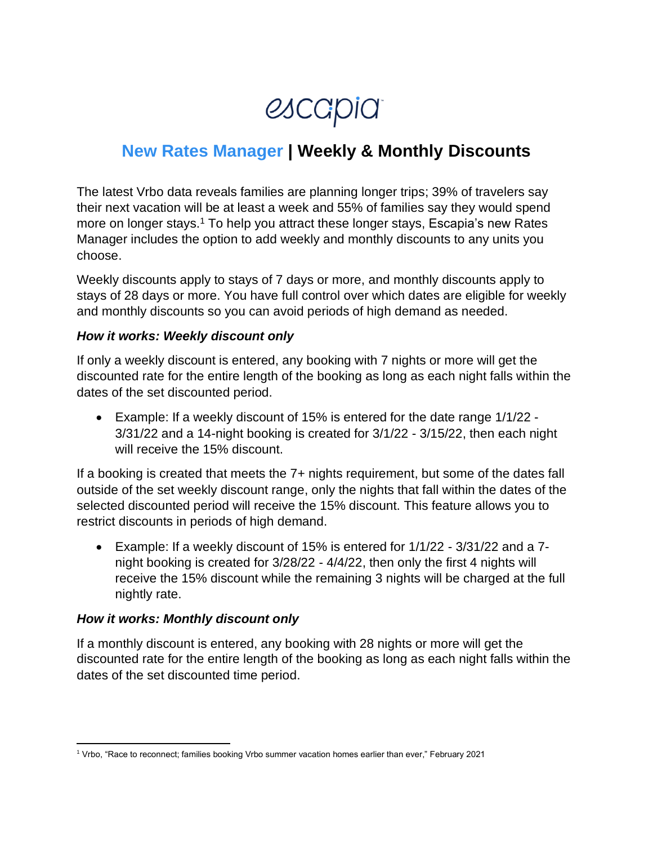*escapia* 

# **New Rates Manager | Weekly & Monthly Discounts**

The latest Vrbo data reveals families are planning longer trips; 39% of travelers say their next vacation will be at least a week and 55% of families say they would spend more on longer stays.<sup>1</sup> To help you attract these longer stays, Escapia's new Rates Manager includes the option to add weekly and monthly discounts to any units you choose.

Weekly discounts apply to stays of 7 days or more, and monthly discounts apply to stays of 28 days or more. You have full control over which dates are eligible for weekly and monthly discounts so you can avoid periods of high demand as needed.

#### *How it works: Weekly discount only*

If only a weekly discount is entered, any booking with 7 nights or more will get the discounted rate for the entire length of the booking as long as each night falls within the dates of the set discounted period.

• Example: If a weekly discount of 15% is entered for the date range 1/1/22 - 3/31/22 and a 14-night booking is created for 3/1/22 - 3/15/22, then each night will receive the 15% discount.

If a booking is created that meets the 7+ nights requirement, but some of the dates fall outside of the set weekly discount range, only the nights that fall within the dates of the selected discounted period will receive the 15% discount. This feature allows you to restrict discounts in periods of high demand.

• Example: If a weekly discount of 15% is entered for 1/1/22 - 3/31/22 and a 7 night booking is created for 3/28/22 - 4/4/22, then only the first 4 nights will receive the 15% discount while the remaining 3 nights will be charged at the full nightly rate.

#### *How it works: Monthly discount only*

If a monthly discount is entered, any booking with 28 nights or more will get the discounted rate for the entire length of the booking as long as each night falls within the dates of the set discounted time period.

<sup>1</sup> Vrbo, "Race to reconnect; families booking Vrbo summer vacation homes earlier than ever," February 2021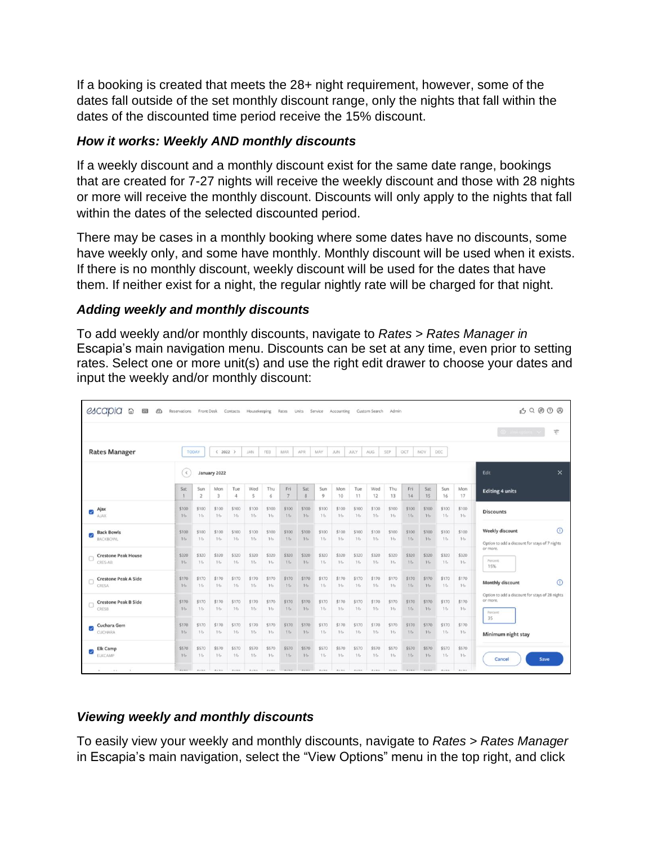If a booking is created that meets the 28+ night requirement, however, some of the dates fall outside of the set monthly discount range, only the nights that fall within the dates of the discounted time period receive the 15% discount.

# *How it works: Weekly AND monthly discounts*

If a weekly discount and a monthly discount exist for the same date range, bookings that are created for 7-27 nights will receive the weekly discount and those with 28 nights or more will receive the monthly discount. Discounts will only apply to the nights that fall within the dates of the selected discounted period.

There may be cases in a monthly booking where some dates have no discounts, some have weekly only, and some have monthly. Monthly discount will be used when it exists. If there is no monthly discount, weekly discount will be used for the dates that have them. If neither exist for a night, the regular nightly rate will be charged for that night.

#### *Adding weekly and monthly discounts*

To add weekly and/or monthly discounts, navigate to *Rates > Rates Manager in*  Escapia's main navigation menu. Discounts can be set at any time, even prior to setting rates. Select one or more unit(s) and use the right edit drawer to choose your dates and input the weekly and/or monthly discount:

| escapia<br>仚<br>田<br>$\circledcirc$         | Reservations                                                                                                                    |                       | Front Desk     | Contacts                 | Housekeeping    |                | Rates                 | Units Service  |                | Accounting      |                | Custom Search  | Admin           |                 |                 |                 |                  | 03 Q @ @ @                                                                   |
|---------------------------------------------|---------------------------------------------------------------------------------------------------------------------------------|-----------------------|----------------|--------------------------|-----------------|----------------|-----------------------|----------------|----------------|-----------------|----------------|----------------|-----------------|-----------------|-----------------|-----------------|------------------|------------------------------------------------------------------------------|
|                                             |                                                                                                                                 |                       |                |                          |                 |                |                       |                |                |                 |                |                |                 |                 |                 |                 |                  | O Version Y<br>$\overline{\mathbf{q}}$ .                                     |
| <b>Rates Manager</b>                        | DEC<br>JAN<br>FEB<br><b>MAR</b><br>SEP<br><b>TODAY</b><br>$& 2022$ ><br>APR<br>MAY<br>JUN-<br><b>JULY</b><br>AUG.<br>OCT<br>NOV |                       |                |                          |                 |                |                       |                |                |                 |                |                |                 |                 |                 |                 |                  |                                                                              |
|                                             | $\leq$                                                                                                                          | January 2022          |                |                          |                 |                |                       |                |                |                 |                |                |                 |                 |                 |                 | $\times$<br>Edit |                                                                              |
|                                             | Sat                                                                                                                             | Sun<br>$\overline{2}$ | Mon<br>3       | Tue<br>$\ddot{4}$        | Wed<br>5        | Thu<br>6       | Fri<br>$\overline{7}$ | Sat<br>8       | Sun<br>9       | Mon<br>10       | Tue<br>11      | Wed<br>12      | Thu<br>13       | Fri<br>14       | Sat<br>15       | Sun<br>16       | Mon<br>17        | <b>Editing 4 units</b>                                                       |
| Ajax<br>☑<br>AJAX                           | \$100<br>16                                                                                                                     | \$100<br>16.          | \$100<br>16    | \$100<br>16              | \$100<br>$16-$  | \$100<br>$16-$ | \$100<br>$16-$        | \$100<br>16    | \$100<br>$16-$ | \$100<br>16     | \$100<br>$16-$ | \$100<br>$16-$ | \$100<br>$16 -$ | \$100<br>$16 -$ | \$100<br>$10-$  | \$100<br>16     | \$100<br>$16-$   | <b>Discounts</b>                                                             |
| <b>Back Bowls</b><br>Ø<br>BACKBOWL          | \$100<br>16                                                                                                                     | \$100<br>$16-$        | \$100<br>$16-$ | \$100<br>$10 -$          | \$100<br>$16-$  | \$100<br>$16-$ | \$100<br>$10-$        | \$100<br>$16-$ | \$100<br>$16-$ | \$100<br>$16-$  | \$100<br>$16-$ | \$100<br>$16-$ | \$100<br>$10-$  | \$100<br>16.    | \$100<br>$10-$  | \$100<br>$10-$  | \$100<br>$16 -$  | $\odot$<br>Weekly discount<br>Option to add a discount for stays of 7 nights |
| <b>Crestone Peak House</b><br>CRES-AB       | \$320<br>$16-$                                                                                                                  | \$320<br>$16-$        | \$320<br>$16-$ | \$320<br>16 <sub>1</sub> | \$320<br>$16-$  | \$320<br>16    | \$320<br>$16-$        | \$320<br>$16-$ | \$320<br>$16-$ | \$320<br>$16 -$ | \$320<br>$16-$ | \$320<br>$16-$ | \$320<br>$16-$  | \$320<br>$10-$  | \$320<br>$16-$  | \$320<br>$16-$  | \$320<br>$16-$   | or more.<br>Percent<br>15%                                                   |
| <b>Crestone Peak A Side</b><br>CRESA        | \$170<br>16                                                                                                                     | \$170<br>16.          | \$170<br>16    | \$170<br>16              | \$170<br>$16 -$ | \$170<br>$16-$ | \$170<br>16           | \$170<br>16    | \$170<br>16    | \$170<br>16     | \$170<br>16    | \$170<br>16    | \$170<br>16     | \$170<br>16.    | \$170<br>$16 -$ | \$170<br>$16-$  | \$170<br>16.     | $\odot$<br>Monthly discount                                                  |
| <b>Crestone Peak B Side</b><br><b>CRESB</b> | \$170<br>16                                                                                                                     | \$170<br>$16-$        | \$170<br>16    | \$170<br>$16-$           | \$170<br>$16-$  | \$170<br>16    | \$170<br>$16-$        | \$170<br>16    | \$170<br>16    | \$170<br>16     | \$170<br>$16-$ | \$170<br>$16-$ | \$170<br>$16-$  | \$170<br>$10-$  | \$170<br>16     | \$170<br>16     | \$170<br>16.     | Option to add a discount for stays of 28 nights<br>or more.<br>Percent       |
| Cuchara Gem<br>⊽<br>CUCHARA                 | \$170<br>16                                                                                                                     | \$170<br>16           | \$170<br>$16-$ | \$170<br>$16-$           | \$170<br>16     | \$170<br>16    | \$170<br>$16-$        | \$170<br>$16-$ | \$170<br>$16-$ | \$170<br>$16-$  | \$170<br>16    | \$170<br>16    | \$170<br>16     | \$170<br>16     | \$170<br>$10-$  | \$170<br>$16-$  | \$170<br>16      | 35<br>Minimum night stay                                                     |
| Elk Camp<br>☑<br>ELKCAMP                    | \$570<br>16                                                                                                                     | \$570<br>$16-$        | \$570<br>$16-$ | \$570<br>16              | \$570<br>$16-$  | \$570<br>16    | \$570<br>$16-$        | \$570<br>$16-$ | \$570<br>16    | \$570<br>16     | \$570<br>16    | \$570<br>16    | \$570<br>16     | \$570<br>16     | \$570<br>16     | \$570<br>$16 -$ | \$570<br>$16-$   | Save<br>Cancel                                                               |
| $-40.00$<br>$\sim$<br>$\sim$                | 1.111                                                                                                                           | 1.141                 | A product      | <b>Bally</b>             | <b>Barnet</b>   |                |                       |                |                | Acres           | Acres          | A price        | <b>Bally</b>    |                 |                 | $2.1 - 1.5$     | $2.5 - 1$        |                                                                              |

# *Viewing weekly and monthly discounts*

To easily view your weekly and monthly discounts, navigate to *Rates > Rates Manager*  in Escapia's main navigation, select the "View Options" menu in the top right, and click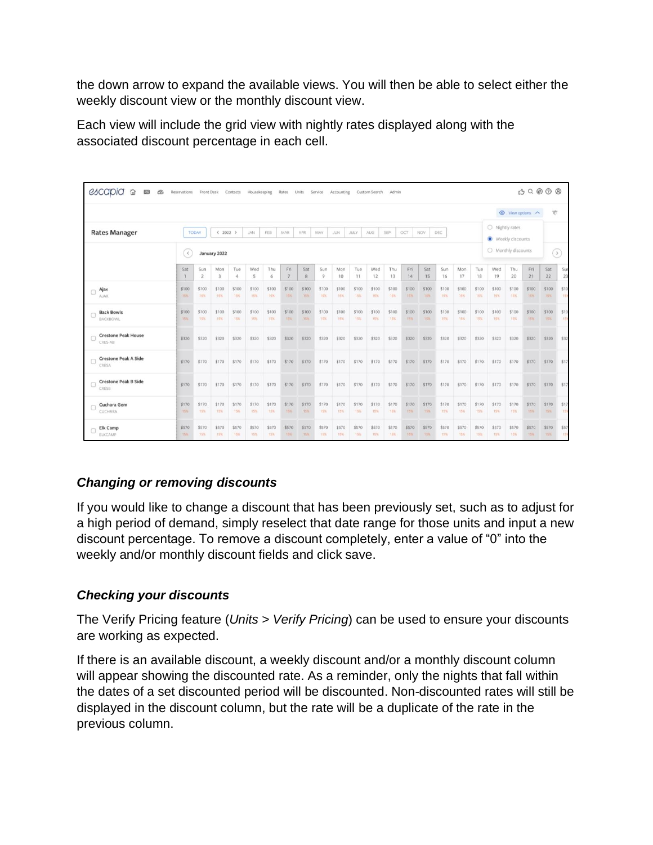the down arrow to expand the available views. You will then be able to select either the weekly discount view or the monthly discount view.

Each view will include the grid view with nightly rates displayed along with the associated discount percentage in each cell.

| 0.39999<br>escapia<br>⋒<br>$\sqrt{2}$<br><b>Reservations</b><br>Front Desk<br>Contacts<br>Rates<br><b>Units</b><br>Service<br>Accounting<br>Custom Search<br>Admin<br>Housekeeping |               |                                                                                                                                                      |                     |                 |              |              |                       |              |              |              |              |                     |              |                                     |                     |               |                     |                     |              |              |              |                     |             |
|------------------------------------------------------------------------------------------------------------------------------------------------------------------------------------|---------------|------------------------------------------------------------------------------------------------------------------------------------------------------|---------------------|-----------------|--------------|--------------|-----------------------|--------------|--------------|--------------|--------------|---------------------|--------------|-------------------------------------|---------------------|---------------|---------------------|---------------------|--------------|--------------|--------------|---------------------|-------------|
|                                                                                                                                                                                    |               |                                                                                                                                                      |                     |                 |              |              |                       |              |              |              |              |                     |              |                                     | ◯ View options へ    | 示             |                     |                     |              |              |              |                     |             |
| <b>Rates Manager</b>                                                                                                                                                               |               | DEC<br>$\langle 2022 \rangle$<br><b>JAN</b><br>FEB<br>MAR<br>APR.<br>MAY<br>JUN.<br><b>AUG</b><br><b>SEP</b><br>OCT<br>NOV.<br><b>TODAY</b><br>JULY. |                     |                 |              |              |                       |              |              |              |              |                     |              | O Nightly rates<br>Weekly discounts |                     |               |                     |                     |              |              |              |                     |             |
| January 2022<br>$\langle \langle \rangle$                                                                                                                                          |               |                                                                                                                                                      |                     |                 |              |              |                       |              |              |              |              |                     |              |                                     | O Monthly discounts | $\rightarrow$ |                     |                     |              |              |              |                     |             |
|                                                                                                                                                                                    | Sat           | Sun<br>$\overline{\mathbf{2}}$                                                                                                                       | <b>Mon</b>          | Tue<br>$\Delta$ | Wed<br>-5    | Thu<br>6     | Fri<br>$\overline{7}$ | Sat<br>8     | Sun<br>9     | Mon<br>10    | Tue<br>11    | Wed<br>12           | Thu<br>13    | Fri<br>14                           | Sat<br>15           | Sun<br>16     | Mon<br>17           | Tue<br>18           | Wed<br>19    | Thu<br>20    | Fri<br>21    | Sat<br>22           | Sur<br>23   |
| Ajax<br><b>AJAX</b>                                                                                                                                                                | \$100<br>-15% | \$100<br><b>15%</b>                                                                                                                                  | \$100<br>15%        | \$100<br>15%    | \$100<br>15% | \$100<br>15% | \$100<br>15%          | \$100<br>15% | \$100<br>15% | \$100<br>15% | \$100<br>15% | \$100<br><b>15%</b> | \$100<br>15% | \$100<br>15%                        | \$100<br>-15%       | \$100<br>15%  | \$100<br><b>15%</b> | \$100<br>15%        | \$100<br>15% | \$100<br>15% | \$100<br>15% | \$100<br>15%        | \$10<br>151 |
| <b>Back Bowls</b><br>BACKBOWL                                                                                                                                                      | \$100<br>15%  | \$100<br>15%                                                                                                                                         | \$100<br><b>15%</b> | \$100<br>15%    | \$100<br>15% | \$100<br>15% | \$100<br>15%          | \$100<br>15% | \$100<br>15% | \$100<br>15% | \$100<br>15% | \$100<br>15%        | \$100<br>15% | \$100<br><b>15%</b>                 | \$100<br>15%        | \$100<br>15%  | \$100<br>15%        | \$100<br>15%        | \$100<br>19% | \$100<br>15% | \$100<br>目标知 | \$100<br><b>15%</b> | \$10<br>159 |
| <b>Crestone Peak House</b><br>CRES-AB                                                                                                                                              | \$320         | \$320                                                                                                                                                | \$320               | \$320           | \$320        | \$320        | \$320                 | \$320        | \$320        | \$320        | \$320        | \$320               | \$320        | \$320                               | \$320               | \$320         | \$320               | \$320               | \$320        | \$320        | \$320        | \$320               | \$32        |
| <b>Crestone Peak A Side</b><br>CRESA                                                                                                                                               | \$170         | \$170                                                                                                                                                | \$170               | \$170           | \$170        | \$170        | \$170                 | \$170        | \$170        | \$170        | \$170        | \$170               | \$170        | \$170                               | \$170               | \$170         | \$170               | \$170               | \$170        | \$170        | \$170        | \$170               | \$17        |
| <b>Crestone Peak B Side</b><br>o<br>CRESB                                                                                                                                          | \$170         | \$170                                                                                                                                                | \$170               | \$170           | \$170        | \$170        | \$170                 | \$170        | \$170        | \$170        | \$170        | \$170               | \$170        | \$170                               | \$170               | \$170         | \$170               | \$170               | \$170        | \$170        | \$170        | \$170               | \$17        |
| Cuchara Gem<br>CUCHARA                                                                                                                                                             | \$170<br>15%  | \$170<br>15%                                                                                                                                         | \$170<br>15%        | \$170<br>15%    | \$170<br>15% | \$170<br>15% | \$170<br>35%          | \$170<br>15% | \$170<br>15% | \$170<br>15% | \$170<br>15% | \$170<br>15%        | \$170<br>15% | \$170<br>15%                        | \$170<br>35%        | \$170<br>15%  | \$170<br>15%        | \$170<br>15%        | \$170<br>15% | \$170<br>75% | \$170<br>15% | \$170<br>35%        | \$17<br>151 |
| Elk Camp<br><b>ELKCAMP</b>                                                                                                                                                         | \$570<br>15%  | \$570<br>15%                                                                                                                                         | \$570<br><b>15%</b> | \$570<br>15%    | \$570<br>15% | \$570<br>15% | \$570<br>15%          | \$570<br>15% | \$570<br>15% | \$570<br>15% | \$570<br>15% | \$570<br>15%        | \$570<br>15% | \$570<br>15%                        | \$570<br>15%        | \$570<br>15%  | \$570<br>15%        | \$570<br><b>15%</b> | \$570<br>15% | \$570<br>15% | \$570<br>15% | \$570<br><b>15%</b> | \$57<br>15  |

# *Changing or removing discounts*

If you would like to change a discount that has been previously set, such as to adjust for a high period of demand, simply reselect that date range for those units and input a new discount percentage. To remove a discount completely, enter a value of "0" into the weekly and/or monthly discount fields and click save.

# *Checking your discounts*

The Verify Pricing feature (*Units > Verify Pricing*) can be used to ensure your discounts are working as expected.

If there is an available discount, a weekly discount and/or a monthly discount column will appear showing the discounted rate. As a reminder, only the nights that fall within the dates of a set discounted period will be discounted. Non-discounted rates will still be displayed in the discount column, but the rate will be a duplicate of the rate in the previous column.